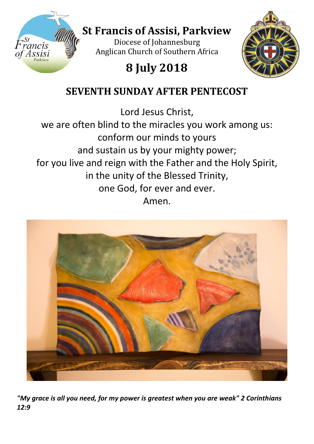

# **St Francis of Assisi, Parkview**

Diocese of Johannesburg Anglican Church of Southern Africa

# **8 July 2018**



# **SEVENTH SUNDAY AFTER PENTECOST**

Lord Jesus Christ,

we are often blind to the miracles you work among us: conform our minds to yours and sustain us by your mighty power; for you live and reign with the Father and the Holy Spirit, in the unity of the Blessed Trinity, one God, for ever and ever. Amen.



*"My grace is all you need, for my power is greatest when you are weak" 2 Corinthians 12:9*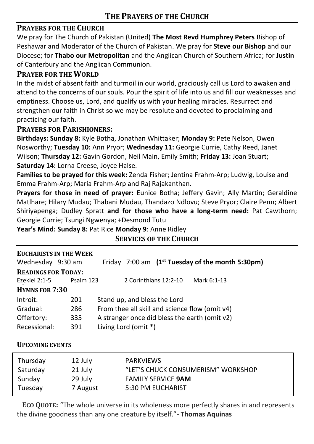# **PRAYERS FOR THE CHURCH**

We pray for The Church of Pakistan (United) **[The Most Revd Humphrey Peters](http://www.anglicancommunion.org/structures/member-churches/member-church/diocese/position.aspx?church=pakistan&dio=peshawar&pos=bishop-of-peshawar-moderator-of-the-church-of-pakistan&posID=16401)** Bishop of Peshawar and Moderator of the Church of Pakistan. We pray for **Steve our Bishop** and our Diocese; for **Thabo our Metropolitan** and the Anglican Church of Southern Africa; for **Justin**  of Canterbury and the Anglican Communion.

# **PRAYER FOR THE WORLD**

In the midst of absent faith and turmoil in our world, graciously call us Lord to awaken and attend to the concerns of our souls. Pour the spirit of life into us and fill our weaknesses and emptiness. Choose us, Lord, and qualify us with your healing miracles. Resurrect and strengthen our faith in Christ so we may be resolute and devoted to proclaiming and practicing our faith.

## **PRAYERS FOR PARISHIONERS:**

**Birthdays: Sunday 8:** Kyle Botha, Jonathan Whittaker; **Monday 9:** Pete Nelson, Owen Nosworthy; **Tuesday 10:** Ann Pryor; **Wednesday 11:** Georgie Currie, Cathy Reed, Janet Wilson; **Thursday 12:** Gavin Gordon, Neil Main, Emily Smith; **Friday 13:** Joan Stuart; **Saturday 14:** Lorna Creese, Joyce Halse.

**Families to be prayed for this week:** Zenda Fisher; Jentina Frahm-Arp; Ludwig, Louise and Emma Frahm-Arp; Maria Frahm-Arp and Raj Rajakanthan.

**Prayers for those in need of prayer:** Eunice Botha; Jeffery Gavin; Ally Martin; Geraldine Matlhare; Hilary Mudau; Thabani Mudau, Thandazo Ndlovu; Steve Pryor; Claire Penn; Albert Shiriyapenga; Dudley Spratt **and for those who have a long-term need:** Pat Cawthorn; Georgie Currie; Tsungi Ngwenya; +Desmond Tutu

**Year's Mind: Sunday 8:** Pat Rice **Monday 9**: Anne Ridley

| <b>EUCHARISTS IN THE WEEK</b><br>Wednesday 9:30 am |           | Friday 7:00 am (1 <sup>st</sup> Tuesday of the month 5:30pm) |  |  |  |  |
|----------------------------------------------------|-----------|--------------------------------------------------------------|--|--|--|--|
|                                                    |           |                                                              |  |  |  |  |
| <b>READINGS FOR TODAY:</b>                         |           |                                                              |  |  |  |  |
| Ezekiel 2:1-5                                      | Psalm 123 | 2 Corinthians 12:2-10<br>Mark 6:1-13                         |  |  |  |  |
| <b>HYMNS FOR 7:30</b>                              |           |                                                              |  |  |  |  |
| Introit:                                           | 201       | Stand up, and bless the Lord                                 |  |  |  |  |
| Gradual:                                           | 286       | From thee all skill and science flow (omit v4)               |  |  |  |  |
| Offertory:                                         | 335       | A stranger once did bless the earth (omit v2)                |  |  |  |  |
| Recessional:                                       | 391       | Living Lord (omit *)                                         |  |  |  |  |

# **SERVICES OF THE CHURCH**

### **UPCOMING EVENTS**

| Thursday | 12 July  | <b>PARKVIEWS</b>                   |
|----------|----------|------------------------------------|
| Saturday | 21 July  | "LET'S CHUCK CONSUMERISM" WORKSHOP |
| Sunday   | 29 July  | <b>FAMILY SERVICE 9AM</b>          |
| Tuesday  | 7 August | 5:30 PM EUCHARIST                  |

**ECO QUOTE:** "The whole universe in its wholeness more perfectly shares in and represents the divine goodness than any one creature by itself."- **Thomas Aquinas**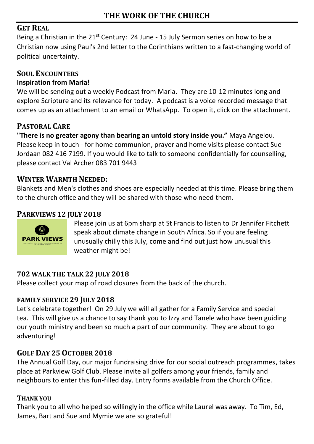# **GET REAL**

Being a Christian in the  $21^{st}$  Century: 24 June - 15 July Sermon series on how to be a Christian now using Paul's 2nd letter to the Corinthians written to a fast-changing world of political uncertainty.

# **SOUL ENCOUNTERS**

## **Inspiration from Maria!**

We will be sending out a weekly Podcast from Maria. They are 10-12 minutes long and explore Scripture and its relevance for today. A podcast is a voice recorded message that comes up as an attachment to an email or WhatsApp. To open it, click on the attachment.

# **PASTORAL CARE**

**"There is no greater agony than bearing an untold story inside you."** Maya Angelou. Please keep in touch - for home communion, prayer and home visits please contact Sue Jordaan 082 416 7199. If you would like to talk to someone confidentially for counselling, please contact Val Archer 083 701 9443

# **WINTER WARMTH NEEDED:**

Blankets and Men's clothes and shoes are especially needed at this time. Please bring them to the church office and they will be shared with those who need them.

# **PARKVIEWS 12 JULY 2018**



Please join us at 6pm sharp at St Francis to listen to Dr Jennifer Fitchett speak about climate change in South Africa. So if you are feeling unusually chilly this July, come and find out just how unusual this weather might be!

# **702 WALK THE TALK 22 JULY 2018**

Please collect your map of road closures from the back of the church.

# **FAMILY SERVICE 29 JULY 2018**

Let's celebrate together! On 29 July we will all gather for a Family Service and special tea. This will give us a chance to say thank you to Izzy and Tanele who have been guiding our youth ministry and been so much a part of our community. They are about to go adventuring!

# **GOLF DAY 25 OCTOBER 2018**

The Annual Golf Day, our major fundraising drive for our social outreach programmes, takes place at Parkview Golf Club. Please invite all golfers among your friends, family and neighbours to enter this fun-filled day. Entry forms available from the Church Office.

### **THANK YOU**

Thank you to all who helped so willingly in the office while Laurel was away. To Tim, Ed, James, Bart and Sue and Mymie we are so grateful!